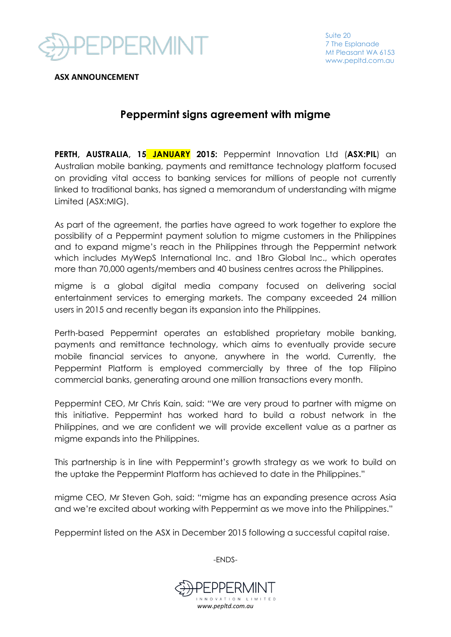

**ASX ANNOUNCEMENT**

## **Peppermint signs agreement with migme**

**PERTH, AUSTRALIA, 15 JANUARY 2015:** Peppermint Innovation Ltd (**ASX:PIL**) an Australian mobile banking, payments and remittance technology platform focused on providing vital access to banking services for millions of people not currently linked to traditional banks, has signed a memorandum of understanding with migme Limited (ASX:MIG).

As part of the agreement, the parties have agreed to work together to explore the possibility of a Peppermint payment solution to migme customers in the Philippines and to expand migme's reach in the Philippines through the Peppermint network which includes MyWepS International Inc. and 1Bro Global Inc., which operates more than 70,000 agents/members and 40 business centres across the Philippines.

migme is a global digital media company focused on delivering social entertainment services to emerging markets. The company exceeded 24 million users in 2015 and recently began its expansion into the Philippines.

Perth-based Peppermint operates an established proprietary mobile banking, payments and remittance technology, which aims to eventually provide secure mobile financial services to anyone, anywhere in the world. Currently, the Peppermint Platform is employed commercially by three of the top Filipino commercial banks, generating around one million transactions every month.

Peppermint CEO, Mr Chris Kain, said: "We are very proud to partner with migme on this initiative. Peppermint has worked hard to build a robust network in the Philippines, and we are confident we will provide excellent value as a partner as migme expands into the Philippines.

This partnership is in line with Peppermint's growth strategy as we work to build on the uptake the Peppermint Platform has achieved to date in the Philippines."

migme CEO, Mr Steven Goh, said: "migme has an expanding presence across Asia and we're excited about working with Peppermint as we move into the Philippines."

Peppermint listed on the ASX in December 2015 following a successful capital raise.

-ENDS-